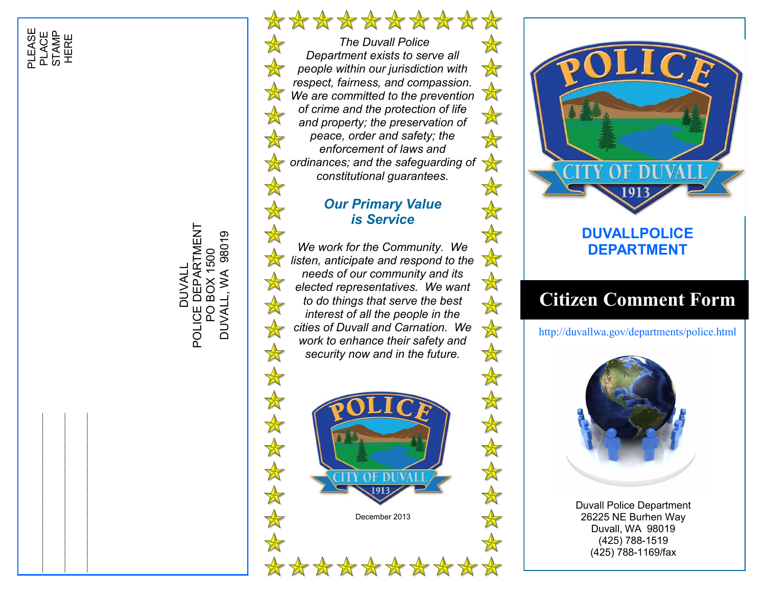# PLEASE PLACE STAMP HERE

\_\_\_\_\_\_\_\_\_\_\_\_\_\_\_\_\_\_\_\_\_\_\_\_\_\_\_\_\_\_\_\_\_ \_\_\_\_\_\_\_\_\_\_\_\_\_\_\_\_\_\_\_\_\_\_\_\_\_\_\_\_\_\_\_\_\_ \_\_\_\_\_\_\_\_\_\_\_\_\_\_\_\_\_\_\_\_\_\_\_\_\_\_\_\_\_\_\_\_\_

DUVALL POLICE DEPARTMENT POLICE DEPARTMENT<br>PO BOX 1500<br>DUVALL, WA 98019 DUVALL, WA 98019 欢

对女女女女女女人

#### \*\*\*\*\*\*\*  *The Duvall Police Department exists to serve all people within our jurisdiction with respect, fairness, and compassion.*  X *We are committed to the prevention of crime and the protection of life and property; the preservation of peace, order and safety; the enforcement of laws and ordinances; and the safeguarding of constitutional guarantees.*

#### *Our Primary Value is Service*

*We work for the Community. We listen, anticipate and respond to the needs of our community and its elected representatives. We want to do things that serve the best interest of all the people in the cities of Duvall and Carnation. We work to enhance their safety and security now and in the future.*

 $\boxtimes$ 

 $\bigtimes$ 

 $\bigstar$ 

举举 科学学家





### **DUVALLPOLICE DEPARTMENT**

## **Citizen Comment Form**

http://duvallwa.gov/departments/police.html



Duvall Police Department 26225 NE Burhen Way Duvall, WA 98019 (425) 788-1519 (425) 788-1169/fax